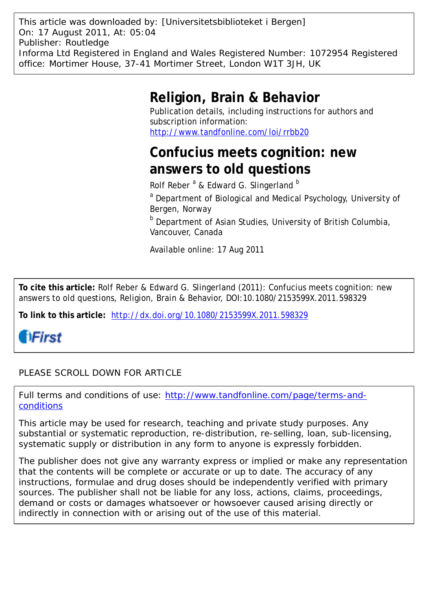This article was downloaded by: [Universitetsbiblioteket i Bergen] On: 17 August 2011, At: 05:04 Publisher: Routledge Informa Ltd Registered in England and Wales Registered Number: 1072954 Registered office: Mortimer House, 37-41 Mortimer Street, London W1T 3JH, UK

# **Religion, Brain & Behavior**

Publication details, including instructions for authors and subscription information: <http://www.tandfonline.com/loi/rrbb20>

## **Confucius meets cognition: new answers to old questions**

Rolf Reber<sup>a</sup> & Edward G. Slingerland <sup>b</sup> <sup>a</sup> Department of Biological and Medical Psychology, University of Bergen, Norway

**b** Department of Asian Studies, University of British Columbia, Vancouver, Canada

Available online: 17 Aug 2011

**To cite this article:** Rolf Reber & Edward G. Slingerland (2011): Confucius meets cognition: new answers to old questions, Religion, Brain & Behavior, DOI:10.1080/2153599X.2011.598329

**To link to this article:** <http://dx.doi.org/10.1080/2153599X.2011.598329>

**fiFirst** 

PLEASE SCROLL DOWN FOR ARTICLE

Full terms and conditions of use: [http://www.tandfonline.com/page/terms-and](http://www.tandfonline.com/page/terms-and-conditions)[conditions](http://www.tandfonline.com/page/terms-and-conditions)

This article may be used for research, teaching and private study purposes. Any substantial or systematic reproduction, re-distribution, re-selling, loan, sub-licensing, systematic supply or distribution in any form to anyone is expressly forbidden.

The publisher does not give any warranty express or implied or make any representation that the contents will be complete or accurate or up to date. The accuracy of any instructions, formulae and drug doses should be independently verified with primary sources. The publisher shall not be liable for any loss, actions, claims, proceedings, demand or costs or damages whatsoever or howsoever caused arising directly or indirectly in connection with or arising out of the use of this material.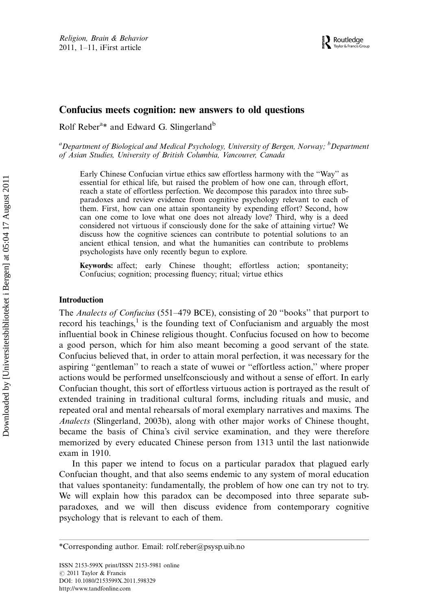### Confucius meets cognition: new answers to old questions

Rolf Reber<sup>a\*</sup> and Edward G. Slingerland<sup>b</sup>

<sup>a</sup>Department of Biological and Medical Psychology, University of Bergen, Norway; <sup>b</sup>Department of Asian Studies, University of British Columbia, Vancouver, Canada

Early Chinese Confucian virtue ethics saw effortless harmony with the ''Way'' as essential for ethical life, but raised the problem of how one can, through effort, reach a state of effortless perfection. We decompose this paradox into three subparadoxes and review evidence from cognitive psychology relevant to each of them. First, how can one attain spontaneity by expending effort? Second, how can one come to love what one does not already love? Third, why is a deed considered not virtuous if consciously done for the sake of attaining virtue? We discuss how the cognitive sciences can contribute to potential solutions to an ancient ethical tension, and what the humanities can contribute to problems psychologists have only recently begun to explore.

Keywords: affect; early Chinese thought; effortless action; spontaneity; Confucius; cognition; processing fluency; ritual; virtue ethics

#### Introduction

The *Analects of Confucius* (551–479 BCE), consisting of 20 "books" that purport to record his teachings, $<sup>1</sup>$  is the founding text of Confucianism and arguably the most</sup> influential book in Chinese religious thought. Confucius focused on how to become a good person, which for him also meant becoming a good servant of the state. Confucius believed that, in order to attain moral perfection, it was necessary for the aspiring ''gentleman'' to reach a state of wuwei or ''effortless action,'' where proper actions would be performed unselfconsciously and without a sense of effort. In early Confucian thought, this sort of effortless virtuous action is portrayed as the result of extended training in traditional cultural forms, including rituals and music, and repeated oral and mental rehearsals of moral exemplary narratives and maxims. The Analects (Slingerland, 2003b), along with other major works of Chinese thought, became the basis of China's civil service examination, and they were therefore memorized by every educated Chinese person from 1313 until the last nationwide exam in 1910.

In this paper we intend to focus on a particular paradox that plagued early Confucian thought, and that also seems endemic to any system of moral education that values spontaneity: fundamentally, the problem of how one can try not to try. We will explain how this paradox can be decomposed into three separate subparadoxes, and we will then discuss evidence from contemporary cognitive psychology that is relevant to each of them.

<sup>\*</sup>Corresponding author. Email: rolf.reber@psysp.uib.no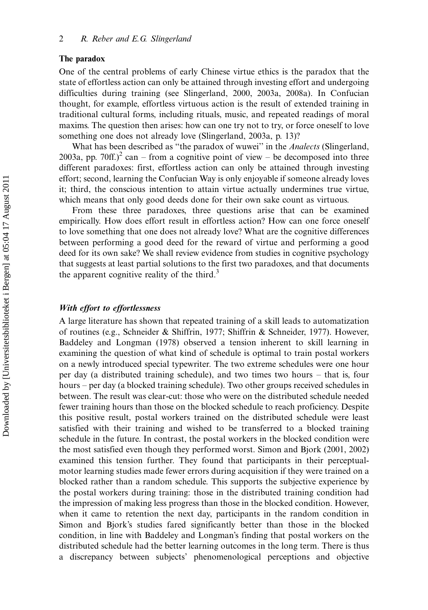#### The paradox

One of the central problems of early Chinese virtue ethics is the paradox that the state of effortless action can only be attained through investing effort and undergoing difficulties during training (see Slingerland, 2000, 2003a, 2008a). In Confucian thought, for example, effortless virtuous action is the result of extended training in traditional cultural forms, including rituals, music, and repeated readings of moral maxims. The question then arises: how can one try not to try, or force oneself to love something one does not already love (Slingerland, 2003a, p. 13)?

What has been described as "the paradox of wuwei" in the *Analects* (Slingerland, 2003a, pp. 70ff.)<sup>2</sup> can – from a cognitive point of view – be decomposed into three different paradoxes: first, effortless action can only be attained through investing effort; second, learning the Confucian Way is only enjoyable if someone already loves it; third, the conscious intention to attain virtue actually undermines true virtue, which means that only good deeds done for their own sake count as virtuous.

From these three paradoxes, three questions arise that can be examined empirically. How does effort result in effortless action? How can one force oneself to love something that one does not already love? What are the cognitive differences between performing a good deed for the reward of virtue and performing a good deed for its own sake? We shall review evidence from studies in cognitive psychology that suggests at least partial solutions to the first two paradoxes, and that documents the apparent cognitive reality of the third.<sup>3</sup>

#### With effort to effortlessness

A large literature has shown that repeated training of a skill leads to automatization of routines (e.g., Schneider & Shiffrin, 1977; Shiffrin & Schneider, 1977). However, Baddeley and Longman (1978) observed a tension inherent to skill learning in examining the question of what kind of schedule is optimal to train postal workers on a newly introduced special typewriter. The two extreme schedules were one hour per day (a distributed training schedule), and two times two hours  $-$  that is, four hours – per day (a blocked training schedule). Two other groups received schedules in between. The result was clear-cut: those who were on the distributed schedule needed fewer training hours than those on the blocked schedule to reach proficiency. Despite this positive result, postal workers trained on the distributed schedule were least satisfied with their training and wished to be transferred to a blocked training schedule in the future. In contrast, the postal workers in the blocked condition were the most satisfied even though they performed worst. Simon and Bjork (2001, 2002) examined this tension further. They found that participants in their perceptualmotor learning studies made fewer errors during acquisition if they were trained on a blocked rather than a random schedule. This supports the subjective experience by the postal workers during training: those in the distributed training condition had the impression of making less progress than those in the blocked condition. However, when it came to retention the next day, participants in the random condition in Simon and Bjork's studies fared significantly better than those in the blocked condition, in line with Baddeley and Longman's finding that postal workers on the distributed schedule had the better learning outcomes in the long term. There is thus a discrepancy between subjects' phenomenological perceptions and objective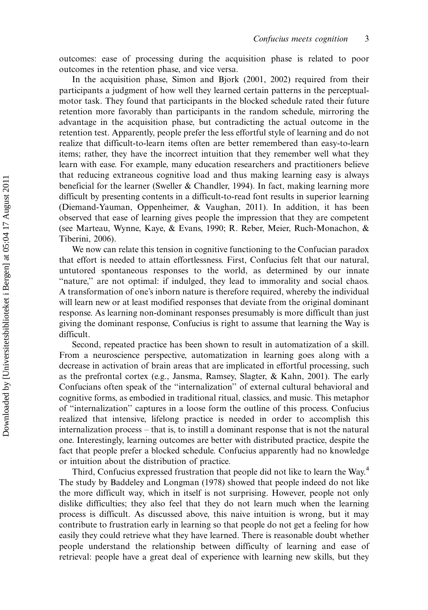outcomes: ease of processing during the acquisition phase is related to poor outcomes in the retention phase, and vice versa.

In the acquisition phase, Simon and Bjork (2001, 2002) required from their participants a judgment of how well they learned certain patterns in the perceptualmotor task. They found that participants in the blocked schedule rated their future retention more favorably than participants in the random schedule, mirroring the advantage in the acquisition phase, but contradicting the actual outcome in the retention test. Apparently, people prefer the less effortful style of learning and do not realize that difficult-to-learn items often are better remembered than easy-to-learn items; rather, they have the incorrect intuition that they remember well what they learn with ease. For example, many education researchers and practitioners believe that reducing extraneous cognitive load and thus making learning easy is always beneficial for the learner (Sweller & Chandler, 1994). In fact, making learning more difficult by presenting contents in a difficult-to-read font results in superior learning (Diemand-Yauman, Oppenheimer, & Vaughan, 2011). In addition, it has been observed that ease of learning gives people the impression that they are competent (see Marteau, Wynne, Kaye, & Evans, 1990; R. Reber, Meier, Ruch-Monachon, & Tiberini, 2006).

We now can relate this tension in cognitive functioning to the Confucian paradox that effort is needed to attain effortlessness. First, Confucius felt that our natural, untutored spontaneous responses to the world, as determined by our innate ''nature,'' are not optimal: if indulged, they lead to immorality and social chaos. A transformation of one's inborn nature is therefore required, whereby the individual will learn new or at least modified responses that deviate from the original dominant response. As learning non-dominant responses presumably is more difficult than just giving the dominant response, Confucius is right to assume that learning the Way is difficult.

Second, repeated practice has been shown to result in automatization of a skill. From a neuroscience perspective, automatization in learning goes along with a decrease in activation of brain areas that are implicated in effortful processing, such as the prefrontal cortex (e.g., Jansma, Ramsey, Slagter, & Kahn, 2001). The early Confucians often speak of the ''internalization'' of external cultural behavioral and cognitive forms, as embodied in traditional ritual, classics, and music. This metaphor of ''internalization'' captures in a loose form the outline of this process. Confucius realized that intensive, lifelong practice is needed in order to accomplish this internalization process – that is, to instill a dominant response that is not the natural one. Interestingly, learning outcomes are better with distributed practice, despite the fact that people prefer a blocked schedule. Confucius apparently had no knowledge or intuition about the distribution of practice.

Third, Confucius expressed frustration that people did not like to learn the Way.4 The study by Baddeley and Longman (1978) showed that people indeed do not like the more difficult way, which in itself is not surprising. However, people not only dislike difficulties; they also feel that they do not learn much when the learning process is difficult. As discussed above, this naive intuition is wrong, but it may contribute to frustration early in learning so that people do not get a feeling for how easily they could retrieve what they have learned. There is reasonable doubt whether people understand the relationship between difficulty of learning and ease of retrieval: people have a great deal of experience with learning new skills, but they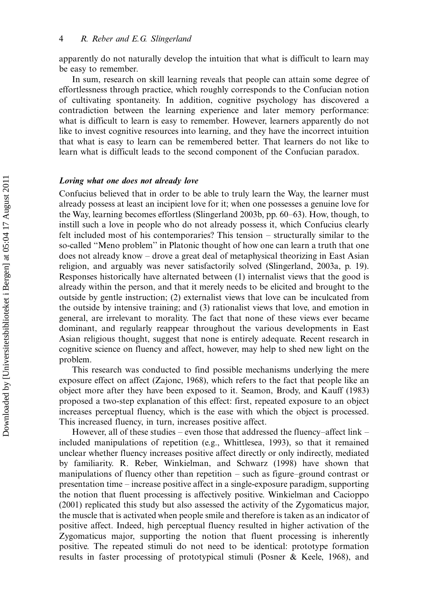apparently do not naturally develop the intuition that what is difficult to learn may be easy to remember.

In sum, research on skill learning reveals that people can attain some degree of effortlessness through practice, which roughly corresponds to the Confucian notion of cultivating spontaneity. In addition, cognitive psychology has discovered a contradiction between the learning experience and later memory performance: what is difficult to learn is easy to remember. However, learners apparently do not like to invest cognitive resources into learning, and they have the incorrect intuition that what is easy to learn can be remembered better. That learners do not like to learn what is difficult leads to the second component of the Confucian paradox.

#### Loving what one does not already love

Confucius believed that in order to be able to truly learn the Way, the learner must already possess at least an incipient love for it; when one possesses a genuine love for the Way, learning becomes effortless (Slingerland 2003b, pp.  $60-63$ ). How, though, to instill such a love in people who do not already possess it, which Confucius clearly felt included most of his contemporaries? This tension - structurally similar to the so-called ''Meno problem'' in Platonic thought of how one can learn a truth that one does not already know – drove a great deal of metaphysical theorizing in East Asian religion, and arguably was never satisfactorily solved (Slingerland, 2003a, p. 19). Responses historically have alternated between (1) internalist views that the good is already within the person, and that it merely needs to be elicited and brought to the outside by gentle instruction; (2) externalist views that love can be inculcated from the outside by intensive training; and (3) rationalist views that love, and emotion in general, are irrelevant to morality. The fact that none of these views ever became dominant, and regularly reappear throughout the various developments in East Asian religious thought, suggest that none is entirely adequate. Recent research in cognitive science on fluency and affect, however, may help to shed new light on the problem.

This research was conducted to find possible mechanisms underlying the mere exposure effect on affect (Zajonc, 1968), which refers to the fact that people like an object more after they have been exposed to it. Seamon, Brody, and Kauff (1983) proposed a two-step explanation of this effect: first, repeated exposure to an object increases perceptual fluency, which is the ease with which the object is processed. This increased fluency, in turn, increases positive affect.

However, all of these studies – even those that addressed the fluency–affect link – included manipulations of repetition (e.g., Whittlesea, 1993), so that it remained unclear whether fluency increases positive affect directly or only indirectly, mediated by familiarity. R. Reber, Winkielman, and Schwarz (1998) have shown that manipulations of fluency other than repetition  $-$  such as figure-ground contrast or presentation time increase positive affect in a single-exposure paradigm, supporting the notion that fluent processing is affectively positive. Winkielman and Cacioppo (2001) replicated this study but also assessed the activity of the Zygomaticus major, the muscle that is activated when people smile and therefore is taken as an indicator of positive affect. Indeed, high perceptual fluency resulted in higher activation of the Zygomaticus major, supporting the notion that fluent processing is inherently positive. The repeated stimuli do not need to be identical: prototype formation results in faster processing of prototypical stimuli (Posner & Keele, 1968), and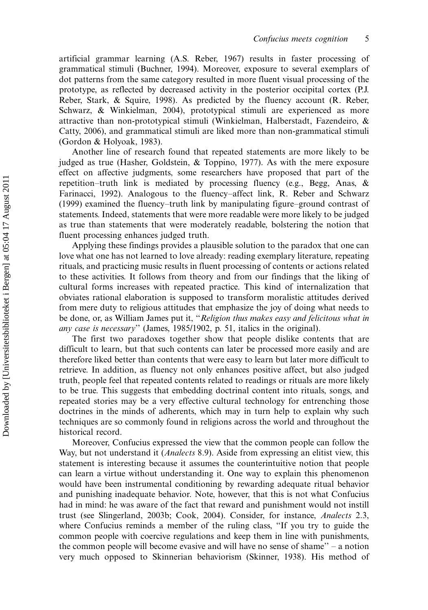artificial grammar learning (A.S. Reber, 1967) results in faster processing of grammatical stimuli (Buchner, 1994). Moreover, exposure to several exemplars of dot patterns from the same category resulted in more fluent visual processing of the prototype, as reflected by decreased activity in the posterior occipital cortex (P.J. Reber, Stark, & Squire, 1998). As predicted by the fluency account (R. Reber, Schwarz, & Winkielman, 2004), prototypical stimuli are experienced as more attractive than non-prototypical stimuli (Winkielman, Halberstadt, Fazendeiro, & Catty, 2006), and grammatical stimuli are liked more than non-grammatical stimuli (Gordon & Holyoak, 1983).

Another line of research found that repeated statements are more likely to be judged as true (Hasher, Goldstein, & Toppino, 1977). As with the mere exposure effect on affective judgments, some researchers have proposed that part of the repetition-truth link is mediated by processing fluency (e.g., Begg, Anas,  $\&$ Farinacci, 1992). Analogous to the fluency-affect link, R. Reber and Schwarz  $(1999)$  examined the fluency-truth link by manipulating figure-ground contrast of statements. Indeed, statements that were more readable were more likely to be judged as true than statements that were moderately readable, bolstering the notion that fluent processing enhances judged truth.

Applying these findings provides a plausible solution to the paradox that one can love what one has not learned to love already: reading exemplary literature, repeating rituals, and practicing music results in fluent processing of contents or actions related to these activities. It follows from theory and from our findings that the liking of cultural forms increases with repeated practice. This kind of internalization that obviates rational elaboration is supposed to transform moralistic attitudes derived from mere duty to religious attitudes that emphasize the joy of doing what needs to be done, or, as William James put it, "Religion thus makes easy and felicitous what in any case is necessary'' (James, 1985/1902, p. 51, italics in the original).

The first two paradoxes together show that people dislike contents that are difficult to learn, but that such contents can later be processed more easily and are therefore liked better than contents that were easy to learn but later more difficult to retrieve. In addition, as fluency not only enhances positive affect, but also judged truth, people feel that repeated contents related to readings or rituals are more likely to be true. This suggests that embedding doctrinal content into rituals, songs, and repeated stories may be a very effective cultural technology for entrenching those doctrines in the minds of adherents, which may in turn help to explain why such techniques are so commonly found in religions across the world and throughout the historical record.

Moreover, Confucius expressed the view that the common people can follow the Way, but not understand it (*Analects* 8.9). Aside from expressing an elitist view, this statement is interesting because it assumes the counterintuitive notion that people can learn a virtue without understanding it. One way to explain this phenomenon would have been instrumental conditioning by rewarding adequate ritual behavior and punishing inadequate behavior. Note, however, that this is not what Confucius had in mind: he was aware of the fact that reward and punishment would not instill trust (see Slingerland, 2003b; Cook, 2004). Consider, for instance, Analects 2.3, where Confucius reminds a member of the ruling class, "If you try to guide the common people with coercive regulations and keep them in line with punishments, the common people will become evasive and will have no sense of shame" – a notion very much opposed to Skinnerian behaviorism (Skinner, 1938). His method of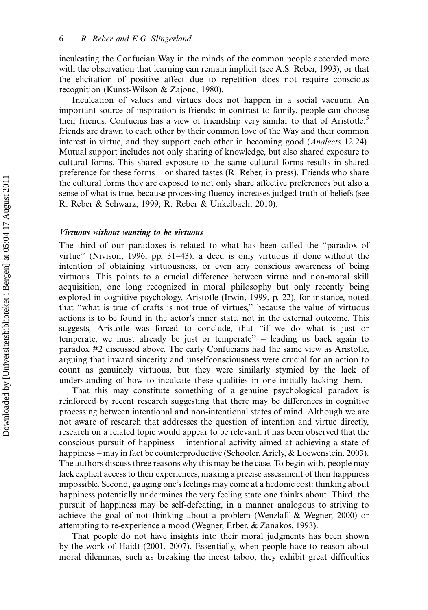inculcating the Confucian Way in the minds of the common people accorded more with the observation that learning can remain implicit (see A.S. Reber, 1993), or that the elicitation of positive affect due to repetition does not require conscious recognition (Kunst-Wilson & Zajonc, 1980).

Inculcation of values and virtues does not happen in a social vacuum. An important source of inspiration is friends; in contrast to family, people can choose their friends. Confucius has a view of friendship very similar to that of Aristotle:<sup>5</sup> friends are drawn to each other by their common love of the Way and their common interest in virtue, and they support each other in becoming good (*Analects* 12.24). Mutual support includes not only sharing of knowledge, but also shared exposure to cultural forms. This shared exposure to the same cultural forms results in shared preference for these forms  $-$  or shared tastes (R. Reber, in press). Friends who share the cultural forms they are exposed to not only share affective preferences but also a sense of what is true, because processing fluency increases judged truth of beliefs (see R. Reber & Schwarz, 1999; R. Reber & Unkelbach, 2010).

#### Virtuous without wanting to be virtuous

The third of our paradoxes is related to what has been called the ''paradox of virtue" (Nivison, 1996, pp. 31–43): a deed is only virtuous if done without the intention of obtaining virtuousness, or even any conscious awareness of being virtuous. This points to a crucial difference between virtue and non-moral skill acquisition, one long recognized in moral philosophy but only recently being explored in cognitive psychology. Aristotle (Irwin, 1999, p. 22), for instance, noted that ''what is true of crafts is not true of virtues,'' because the value of virtuous actions is to be found in the actor's inner state, not in the external outcome. This suggests, Aristotle was forced to conclude, that ''if we do what is just or temperate, we must already be just or temperate" - leading us back again to paradox #2 discussed above. The early Confucians had the same view as Aristotle, arguing that inward sincerity and unselfconsciousness were crucial for an action to count as genuinely virtuous, but they were similarly stymied by the lack of understanding of how to inculcate these qualities in one initially lacking them.

That this may constitute something of a genuine psychological paradox is reinforced by recent research suggesting that there may be differences in cognitive processing between intentional and non-intentional states of mind. Although we are not aware of research that addresses the question of intention and virtue directly, research on a related topic would appear to be relevant: it has been observed that the conscious pursuit of happiness – intentional activity aimed at achieving a state of happiness – may in fact be counterproductive (Schooler, Ariely,  $\&$  Loewenstein, 2003). The authors discuss three reasons why this may be the case. To begin with, people may lack explicit access to their experiences, making a precise assessment of their happiness impossible. Second, gauging one's feelings may come at a hedonic cost: thinking about happiness potentially undermines the very feeling state one thinks about. Third, the pursuit of happiness may be self-defeating, in a manner analogous to striving to achieve the goal of not thinking about a problem (Wenzlaff & Wegner, 2000) or attempting to re-experience a mood (Wegner, Erber, & Zanakos, 1993).

That people do not have insights into their moral judgments has been shown by the work of Haidt (2001, 2007). Essentially, when people have to reason about moral dilemmas, such as breaking the incest taboo, they exhibit great difficulties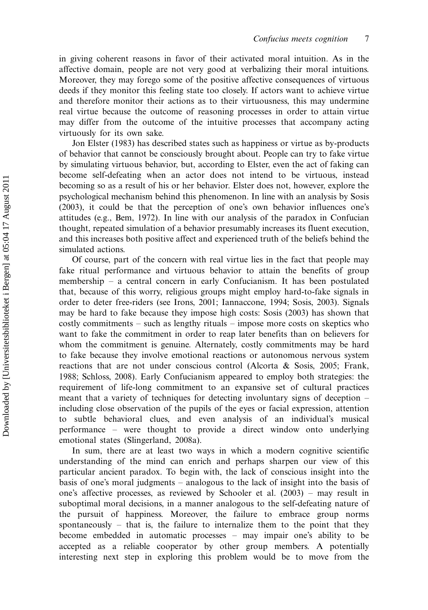in giving coherent reasons in favor of their activated moral intuition. As in the affective domain, people are not very good at verbalizing their moral intuitions. Moreover, they may forego some of the positive affective consequences of virtuous deeds if they monitor this feeling state too closely. If actors want to achieve virtue and therefore monitor their actions as to their virtuousness, this may undermine real virtue because the outcome of reasoning processes in order to attain virtue may differ from the outcome of the intuitive processes that accompany acting virtuously for its own sake.

Jon Elster (1983) has described states such as happiness or virtue as by-products of behavior that cannot be consciously brought about. People can try to fake virtue by simulating virtuous behavior, but, according to Elster, even the act of faking can become self-defeating when an actor does not intend to be virtuous, instead becoming so as a result of his or her behavior. Elster does not, however, explore the psychological mechanism behind this phenomenon. In line with an analysis by Sosis (2003), it could be that the perception of one's own behavior influences one's attitudes (e.g., Bem, 1972). In line with our analysis of the paradox in Confucian thought, repeated simulation of a behavior presumably increases its fluent execution, and this increases both positive affect and experienced truth of the beliefs behind the simulated actions.

Of course, part of the concern with real virtue lies in the fact that people may fake ritual performance and virtuous behavior to attain the benefits of group membership  $-$  a central concern in early Confucianism. It has been postulated that, because of this worry, religious groups might employ hard-to-fake signals in order to deter free-riders (see Irons, 2001; Iannaccone, 1994; Sosis, 2003). Signals may be hard to fake because they impose high costs: Sosis (2003) has shown that costly commitments  $-$  such as lengthy rituals  $-$  impose more costs on skeptics who want to fake the commitment in order to reap later benefits than on believers for whom the commitment is genuine. Alternately, costly commitments may be hard to fake because they involve emotional reactions or autonomous nervous system reactions that are not under conscious control (Alcorta & Sosis, 2005; Frank, 1988; Schloss, 2008). Early Confucianism appeared to employ both strategies: the requirement of life-long commitment to an expansive set of cultural practices meant that a variety of techniques for detecting involuntary signs of deception including close observation of the pupils of the eyes or facial expression, attention to subtle behavioral clues, and even analysis of an individual's musical performance were thought to provide a direct window onto underlying emotional states (Slingerland, 2008a).

In sum, there are at least two ways in which a modern cognitive scientific understanding of the mind can enrich and perhaps sharpen our view of this particular ancient paradox. To begin with, the lack of conscious insight into the basis of one's moral judgments – analogous to the lack of insight into the basis of one's affective processes, as reviewed by Schooler et al.  $(2003)$  – may result in suboptimal moral decisions, in a manner analogous to the self-defeating nature of the pursuit of happiness. Moreover, the failure to embrace group norms spontaneously  $-$  that is, the failure to internalize them to the point that they become embedded in automatic processes – may impair one's ability to be accepted as a reliable cooperator by other group members. A potentially interesting next step in exploring this problem would be to move from the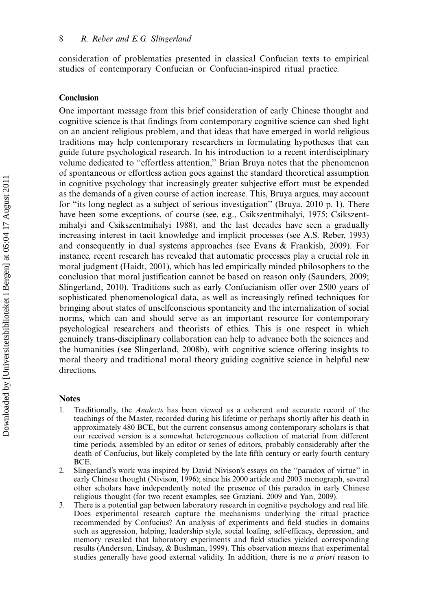consideration of problematics presented in classical Confucian texts to empirical studies of contemporary Confucian or Confucian-inspired ritual practice.

### Conclusion

One important message from this brief consideration of early Chinese thought and cognitive science is that findings from contemporary cognitive science can shed light on an ancient religious problem, and that ideas that have emerged in world religious traditions may help contemporary researchers in formulating hypotheses that can guide future psychological research. In his introduction to a recent interdisciplinary volume dedicated to ''effortless attention,'' Brian Bruya notes that the phenomenon of spontaneous or effortless action goes against the standard theoretical assumption in cognitive psychology that increasingly greater subjective effort must be expended as the demands of a given course of action increase. This, Bruya argues, may account for ''its long neglect as a subject of serious investigation'' (Bruya, 2010 p. 1). There have been some exceptions, of course (see, e.g., Csikszentmihalyi, 1975; Csikszentmihalyi and Csikszentmihalyi 1988), and the last decades have seen a gradually increasing interest in tacit knowledge and implicit processes (see A.S. Reber, 1993) and consequently in dual systems approaches (see Evans & Frankish, 2009). For instance, recent research has revealed that automatic processes play a crucial role in moral judgment (Haidt, 2001), which has led empirically minded philosophers to the conclusion that moral justification cannot be based on reason only (Saunders, 2009; Slingerland, 2010). Traditions such as early Confucianism offer over 2500 years of sophisticated phenomenological data, as well as increasingly refined techniques for bringing about states of unselfconscious spontaneity and the internalization of social norms, which can and should serve as an important resource for contemporary psychological researchers and theorists of ethics. This is one respect in which genuinely trans-disciplinary collaboration can help to advance both the sciences and the humanities (see Slingerland, 2008b), with cognitive science offering insights to moral theory and traditional moral theory guiding cognitive science in helpful new directions.

#### Notes

- Traditionally, the *Analects* has been viewed as a coherent and accurate record of the teachings of the Master, recorded during his lifetime or perhaps shortly after his death in approximately 480 BCE, but the current consensus among contemporary scholars is that our received version is a somewhat heterogeneous collection of material from different time periods, assembled by an editor or series of editors, probably considerably after the death of Confucius, but likely completed by the late fifth century or early fourth century BCE.
- 2. Slingerland's work was inspired by David Nivison's essays on the ''paradox of virtue'' in early Chinese thought (Nivison, 1996); since his 2000 article and 2003 monograph, several other scholars have independently noted the presence of this paradox in early Chinese religious thought (for two recent examples, see Graziani, 2009 and Yan, 2009).
- 3. There is a potential gap between laboratory research in cognitive psychology and real life. Does experimental research capture the mechanisms underlying the ritual practice recommended by Confucius? An analysis of experiments and field studies in domains such as aggression, helping, leadership style, social loafing, self-efficacy, depression, and memory revealed that laboratory experiments and field studies yielded corresponding results (Anderson, Lindsay, & Bushman, 1999). This observation means that experimental studies generally have good external validity. In addition, there is no *a priori* reason to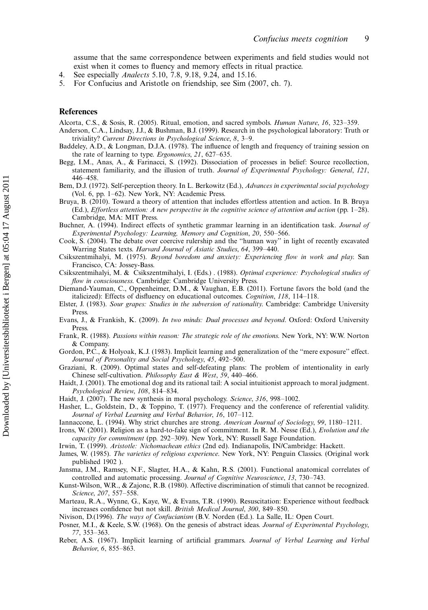assume that the same correspondence between experiments and field studies would not exist when it comes to fluency and memory effects in ritual practice.

- 4. See especially Analects 5.10, 7.8, 9.18, 9.24, and 15.16.
- 5. For Confucius and Aristotle on friendship, see Sim (2007, ch. 7).

#### **References**

Alcorta, C.S., & Sosis, R. (2005). Ritual, emotion, and sacred symbols. Human Nature, 16, 323-359.

- Anderson, C.A., Lindsay, J.J., & Bushman, B.J. (1999). Research in the psychological laboratory: Truth or triviality? Current Directions in Psychological Science, 8, 3-9.
- Baddeley, A.D., & Longman, D.J.A. (1978). The influence of length and frequency of training session on the rate of learning to type. Ergonomics,  $21$ , 627-635.
- Begg, I.M., Anas, A., & Farinacci, S. (1992). Dissociation of processes in belief: Source recollection, statement familiarity, and the illusion of truth. Journal of Experimental Psychology: General, 121, 446-458.
- Bem, D.J. (1972). Self-perception theory. In L. Berkowitz (Ed.), Advances in experimental social psychology (Vol. 6, pp. 1-62). New York, NY: Academic Press.
- Bruya, B. (2010). Toward a theory of attention that includes effortless attention and action. In B. Bruya (Ed.), *Effortless attention: A new perspective in the cognitive science of attention and action* (pp.  $1-28$ ). Cambridge, MA: MIT Press.
- Buchner, A. (1994). Indirect effects of synthetic grammar learning in an identification task. Journal of Experimental Psychology: Learning, Memory and Cognition, 20, 550-566.
- Cook, S. (2004). The debate over coercive rulership and the ''human way'' in light of recently excavated Warring States texts. Harvard Journal of Asiatic Studies, 64, 399-440.
- Csikszentmihalyi, M. (1975). Beyond boredom and anxiety: Experiencing flow in work and play. San Francisco, CA: Jossey-Bass.
- Csikszentmihalyi, M. & Csikszentmihalyi, I. (Eds.) . (1988). Optimal experience: Psychological studies of flow in consciousness. Cambridge: Cambridge University Press.
- Diemand-Yauman, C., Oppenheimer, D.M., & Vaughan, E.B. (2011). Fortune favors the bold (and the italicized): Effects of disfluency on educational outcomes. *Cognition*,  $118$ ,  $114-118$ .
- Elster, J. (1983). Sour grapes: Studies in the subversion of rationality. Cambridge: Cambridge University Press.
- Evans, J., & Frankish, K. (2009). In two minds: Dual processes and beyond. Oxford: Oxford University Press.
- Frank, R. (1988). Passions within reason: The strategic role of the emotions. New York, NY: W.W. Norton & Company.
- Gordon, P.C., & Holyoak, K.J. (1983). Implicit learning and generalization of the "mere exposure" effect. Journal of Personality and Social Psychology, 45, 492-500.
- Graziani, R. (2009). Optimal states and self-defeating plans: The problem of intentionality in early Chinese self-cultivation. Philosophy East & West, 59, 440-466.
- Haidt, J. (2001). The emotional dog and its rational tail: A social intuitionist approach to moral judgment. Psychological Review, 108, 814-834.
- Haidt, J. (2007). The new synthesis in moral psychology. Science, 316, 998-1002.
- Hasher, L., Goldstein, D., & Toppino, T. (1977). Frequency and the conference of referential validity. Journal of Verbal Learning and Verbal Behavior, 16, 107-112.
- Iannaccone, L. (1994). Why strict churches are strong. American Journal of Sociology, 99, 1180–1211.
- Irons, W. (2001). Religion as a hard-to-fake sign of commitment. In R. M. Nesse (Ed.), Evolution and the capacity for commitment (pp. 292-309). New York, NY: Russell Sage Foundation.
- Irwin, T. (1999). Aristotle: Nichomachean ethics (2nd ed). Indianapolis, IN/Cambridge: Hackett.
- James, W. (1985). The varieties of religious experience. New York, NY: Penguin Classics. (Original work published 1902 ).
- Jansma, J.M., Ramsey, N.F., Slagter, H.A., & Kahn, R.S. (2001). Functional anatomical correlates of controlled and automatic processing. Journal of Cognitive Neuroscience, 13, 730–743.
- Kunst-Wilson, W.R., & Zajonc, R.B. (1980). Affective discrimination of stimuli that cannot be recognized. Science, 207, 557-558.
- Marteau, R.A., Wynne, G., Kaye, W., & Evans, T.R. (1990). Resuscitation: Experience without feedback increases confidence but not skill. British Medical Journal, 300, 849-850.
- Nivison, D.(1996). The ways of Confucianism (B.V. Norden (Ed.). La Salle, IL: Open Court.
- Posner, M.I., & Keele, S.W. (1968). On the genesis of abstract ideas. Journal of Experimental Psychology, 77, 353-363.
- Reber, A.S. (1967). Implicit learning of artificial grammars. Journal of Verbal Learning and Verbal Behavior, 6, 855-863.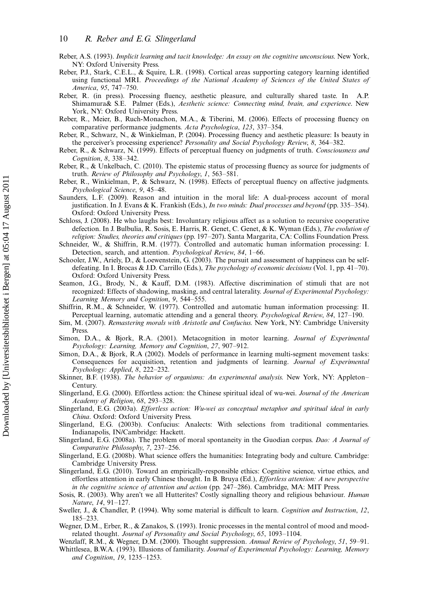- Reber, A.S. (1993). Implicit learning and tacit knowledge: An essay on the cognitive unconscious. New York, NY: Oxford University Press.
- Reber, P.J., Stark, C.E.L., & Squire, L.R. (1998). Cortical areas supporting category learning identified using functional MRI. Proceedings of the National Academy of Sciences of the United States of America, 95, 747-750.
- Reber, R. (in press). Processing fluency, aesthetic pleasure, and culturally shared taste. In A.P. Shimamura& S.E. Palmer (Eds.), Aesthetic science: Connecting mind, brain, and experience. New York, NY: Oxford University Press.
- Reber, R., Meier, B., Ruch-Monachon, M.A., & Tiberini, M. (2006). Effects of processing fluency on comparative performance judgments. Acta Psychologica, 123, 337–354.
- Reber, R., Schwarz, N., & Winkielman, P. (2004). Processing fluency and aesthetic pleasure: Is beauty in the perceiver's processing experience? Personality and Social Psychology Review, 8, 364-382.
- Reber, R., & Schwarz, N. (1999). Effects of perceptual fluency on judgments of truth. Consciousness and Cognition, 8, 338-342.
- Reber, R., & Unkelbach, C. (2010). The epistemic status of processing fluency as source for judgments of truth. Review of Philosophy and Psychology, 1, 563-581.
- Reber, R., Winkielman, P., & Schwarz, N. (1998). Effects of perceptual fluency on affective judgments. Psychological Science, 9, 45-48.
- Saunders, L.F. (2009). Reason and intuition in the moral life: A dual-process account of moral justification. In J. Evans & K. Frankish (Eds.), In two minds: Dual processes and beyond (pp. 335–354). Oxford: Oxford University Press.
- Schloss, J. (2008). He who laughs best: Involuntary religious affect as a solution to recursive cooperative defection. In J. Bulbulia, R. Sosis, E. Harris, R. Genet, C. Genet, & K. Wyman (Eds.), The evolution of religion: Studies, theories and critiques (pp. 197-207). Santa Margarita, CA: Collins Foundation Press.
- Schneider, W., & Shiffrin, R.M. (1977). Controlled and automatic human information processing: I. Detection, search, and attention. Psychological Review, 84, 1-66.
- Schooler, J.W., Ariely, D., & Loewenstein, G. (2003). The pursuit and assessment of happiness can be selfdefeating. In I. Brocas & J.D. Carrillo (Eds.), The psychology of economic decisions (Vol. 1, pp. 41-70). Oxford: Oxford University Press.
- Seamon, J.G., Brody, N., & Kauff, D.M. (1983). Affective discrimination of stimuli that are not recognized: Effects of shadowing, masking, and central laterality. Journal of Experimental Psychology: Learning Memory and Cognition, 9, 544-555.
- Shiffrin, R.M., & Schneider, W. (1977). Controlled and automatic human information processing: II. Perceptual learning, automatic attending and a general theory. Psychological Review, 84, 127-190.
- Sim, M. (2007). Remastering morals with Aristotle and Confucius. New York, NY: Cambridge University Press.
- Simon, D.A., & Bjork, R.A. (2001). Metacognition in motor learning. Journal of Experimental Psychology: Learning, Memory and Cognition, 27, 907-912.
- Simon, D.A., & Bjork, R.A (2002). Models of performance in learning multi-segment movement tasks: Consequences for acquisition, retention and judgments of learning. Journal of Experimental  $Psychology: Applied, 8, 222–232.$
- Skinner, B.F. (1938). The behavior of organisms: An experimental analysis. New York, NY: Appleton-Century.
- Slingerland, E.G. (2000). Effortless action: the Chinese spiritual ideal of wu-wei. Journal of the American Academy of Religion, 68, 293-328.
- Slingerland, E.G. (2003a). Effortless action: Wu-wei as conceptual metaphor and spiritual ideal in early China. Oxford: Oxford University Press.
- Slingerland, E.G. (2003b). Confucius: Analects: With selections from traditional commentaries. Indianapolis, IN/Cambridge: Hackett.
- Slingerland, E.G. (2008a). The problem of moral spontaneity in the Guodian corpus. Dao: A Journal of Comparative Philosophy, 7, 237-256.
- Slingerland, E.G. (2008b). What science offers the humanities: Integrating body and culture. Cambridge: Cambridge University Press.
- Slingerland, E.G. (2010). Toward an empirically-responsible ethics: Cognitive science, virtue ethics, and effortless attention in early Chinese thought. In B. Bruya (Ed.), Effortless attention: A new perspective in the cognitive science of attention and action (pp.  $247-286$ ). Cambridge, MA: MIT Press.
- Sosis, R. (2003). Why aren't we all Hutterites? Costly signalling theory and religious behaviour. Human  $Nature, 14, 91-127.$
- Sweller, J., & Chandler, P. (1994). Why some material is difficult to learn. Cognition and Instruction, 12, 185-233.
- Wegner, D.M., Erber, R., & Zanakos, S. (1993). Ironic processes in the mental control of mood and moodrelated thought. Journal of Personality and Social Psychology, 65, 1093-1104.
- Wenzlaff, R.M., & Wegner, D.M. (2000). Thought suppression. Annual Review of Psychology, 51, 59-91.
- Whittlesea, B.W.A. (1993). Illusions of familiarity. Journal of Experimental Psychology: Learning, Memory and Cognition, 19, 1235-1253.